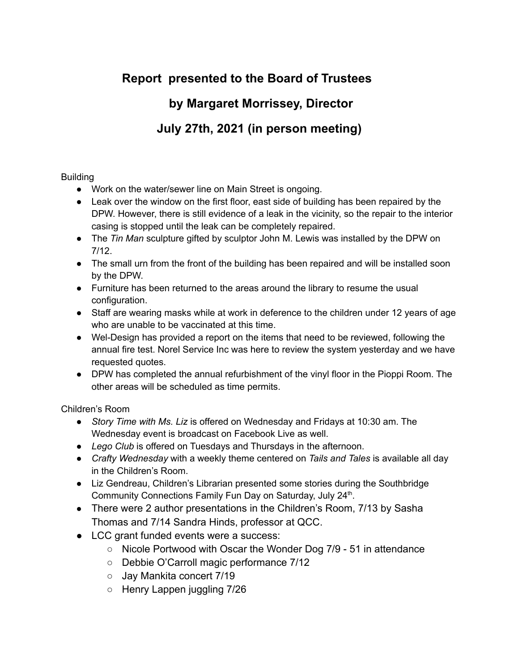# **Report presented to the Board of Trustees**

### **by Margaret Morrissey, Director**

## **July 27th, 2021 (in person meeting)**

### Building

- Work on the water/sewer line on Main Street is ongoing.
- Leak over the window on the first floor, east side of building has been repaired by the DPW. However, there is still evidence of a leak in the vicinity, so the repair to the interior casing is stopped until the leak can be completely repaired.
- The *Tin Man* sculpture gifted by sculptor John M. Lewis was installed by the DPW on 7/12.
- The small urn from the front of the building has been repaired and will be installed soon by the DPW.
- Furniture has been returned to the areas around the library to resume the usual configuration.
- Staff are wearing masks while at work in deference to the children under 12 years of age who are unable to be vaccinated at this time.
- Wel-Design has provided a report on the items that need to be reviewed, following the annual fire test. Norel Service Inc was here to review the system yesterday and we have requested quotes.
- DPW has completed the annual refurbishment of the vinyl floor in the Pioppi Room. The other areas will be scheduled as time permits.

Children's Room

- *Story Time with Ms. Liz* is offered on Wednesday and Fridays at 10:30 am. The Wednesday event is broadcast on Facebook Live as well.
- *Lego Club* is offered on Tuesdays and Thursdays in the afternoon.
- *Crafty Wednesday* with a weekly theme centered on *Tails and Tales* is available all day in the Children's Room.
- Liz Gendreau, Children's Librarian presented some stories during the Southbridge Community Connections Family Fun Day on Saturday, July 24<sup>th</sup>.
- There were 2 author presentations in the Children's Room, 7/13 by Sasha Thomas and 7/14 Sandra Hinds, professor at QCC.
- LCC grant funded events were a success:
	- Nicole Portwood with Oscar the Wonder Dog 7/9 51 in attendance
	- Debbie O'Carroll magic performance 7/12
	- Jay Mankita concert 7/19
	- Henry Lappen juggling 7/26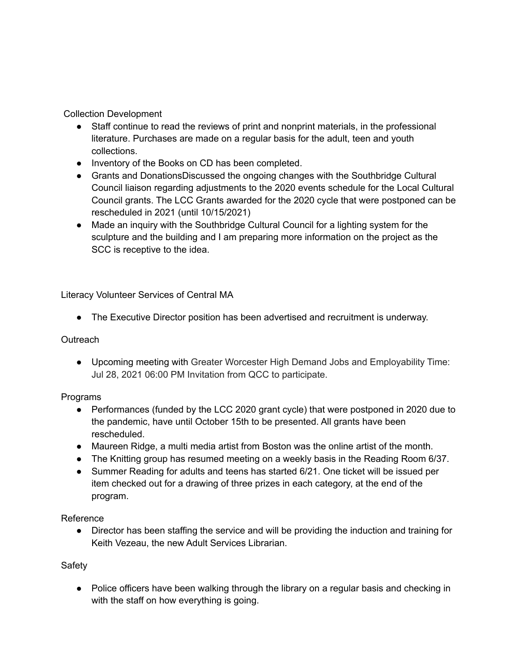Collection Development

- Staff continue to read the reviews of print and nonprint materials, in the professional literature. Purchases are made on a regular basis for the adult, teen and youth collections.
- Inventory of the Books on CD has been completed.
- Grants and DonationsDiscussed the ongoing changes with the Southbridge Cultural Council liaison regarding adjustments to the 2020 events schedule for the Local Cultural Council grants. The LCC Grants awarded for the 2020 cycle that were postponed can be rescheduled in 2021 (until 10/15/2021)
- Made an inquiry with the Southbridge Cultural Council for a lighting system for the sculpture and the building and I am preparing more information on the project as the SCC is receptive to the idea.

Literacy Volunteer Services of Central MA

● The Executive Director position has been advertised and recruitment is underway.

#### **Outreach**

● Upcoming meeting with Greater Worcester High Demand Jobs and Employability Time: Jul 28, 2021 06:00 PM Invitation from QCC to participate.

#### Programs

- Performances (funded by the LCC 2020 grant cycle) that were postponed in 2020 due to the pandemic, have until October 15th to be presented. All grants have been rescheduled.
- Maureen Ridge, a multi media artist from Boston was the online artist of the month.
- The Knitting group has resumed meeting on a weekly basis in the Reading Room 6/37.
- Summer Reading for adults and teens has started 6/21. One ticket will be issued per item checked out for a drawing of three prizes in each category, at the end of the program.

Reference

● Director has been staffing the service and will be providing the induction and training for Keith Vezeau, the new Adult Services Librarian.

#### Safety

● Police officers have been walking through the library on a regular basis and checking in with the staff on how everything is going.